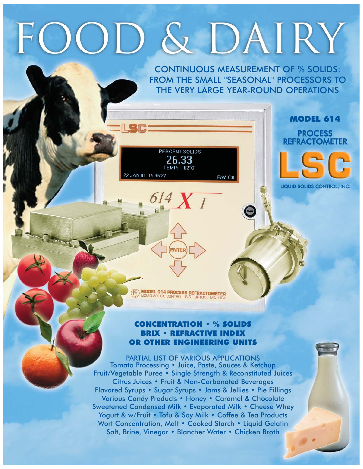# OD & DAIRY

PERCENT SOLIDS

2 JAN 01 15:36:27

 $82^{\circ}$ C

P/W 0:0

CONTINUOUS MEASUREMENT OF % SOLIDS: FROM THE SMALL "SEASONAL" PROCESSORS TO THE VERY LARGE YEAR-ROUND OPERATIONS





LIQUID SOLIDS CONTROL, INC.

**MODEL 614 PROCESS REFRACTOMETER**<br>LIGUID SOLIDS CONTROL, INC. UPTON, MA USA

### CONCENTRATION • % SOLIDS BRIX • REFRACTIVE INDEX OR OTHER ENGINEERING UNITS

PARTIAL LIST OF VARIOUS APPLICATIONS Tomato Processing • Juice, Paste, Sauces & Ketchup Fruit/Vegetable Puree • Single Strength & Reconstituted Juices Citrus Juices • Fruit & Non-Carbonated Beverages Flavored Syrups • Sugar Syrups • Jams & Jellies • Pie Fillings Various Candy Products • Honey • Caramel & Chocolate Sweetened Condensed Milk • Evaporated Milk • Cheese Whey Yogurt & w/Fruit • Tofu & Soy Milk • Coffee & Tea Products Wort Concentration, Malt • Cooked Starch • Liquid Gelatin Salt, Brine, Vinegar • Blancher Water • Chicken Broth